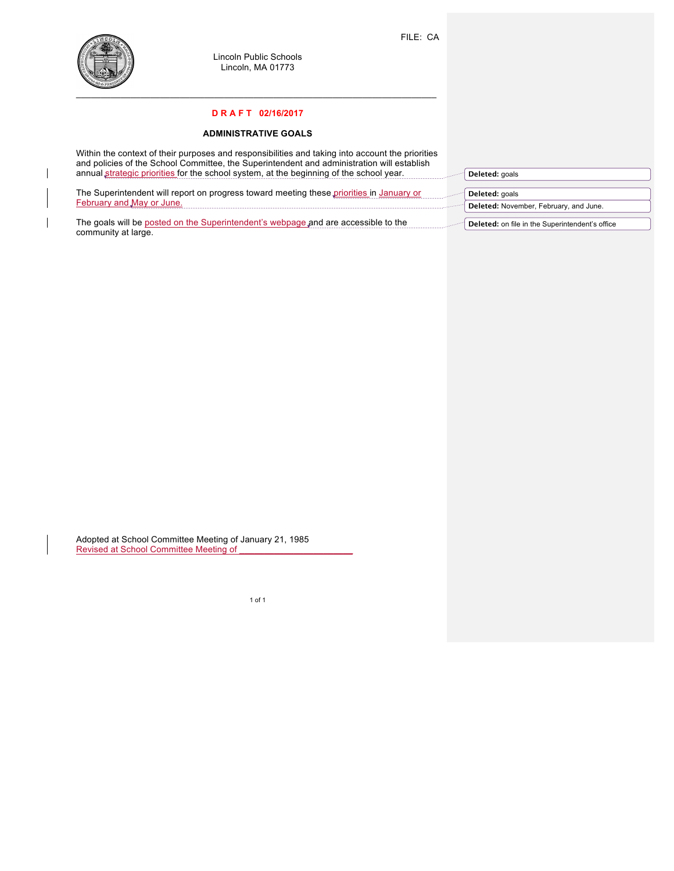

 $\mathbf{I}$ 

 $\mathbf{I}$ 

Lincoln Public Schools Lincoln, MA 01773

## **D R A F T 02/16/2017**

## **ADMINISTRATIVE GOALS**

| Within the context of their purposes and responsibilities and taking into account the priorities<br>and policies of the School Committee, the Superintendent and administration will establish |                                                 |
|------------------------------------------------------------------------------------------------------------------------------------------------------------------------------------------------|-------------------------------------------------|
| annual strategic priorities for the school system, at the beginning of the school year.                                                                                                        | Deleted: goals                                  |
|                                                                                                                                                                                                |                                                 |
| The Superintendent will report on progress toward meeting these priorities in January or                                                                                                       | Deleted: goals                                  |
| February and May or June.                                                                                                                                                                      | Deleted: November, February, and June.          |
|                                                                                                                                                                                                |                                                 |
| The goals will be posted on the Superintendent's webpage and are accessible to the                                                                                                             | Deleted: on file in the Superintendent's office |
| community at large.                                                                                                                                                                            |                                                 |

Adopted at School Committee Meeting of January 21, 1985 Revised at School Committee Meeting of **New Access 20 Access 20 Access** 20 Access 20 Access 20 Access 20 Access 20 Access 20 Access 20 Access 20 Access 20 Access 20 Access 20 Access 20 Access 20 Access 20 Access 20 Access

1 of 1